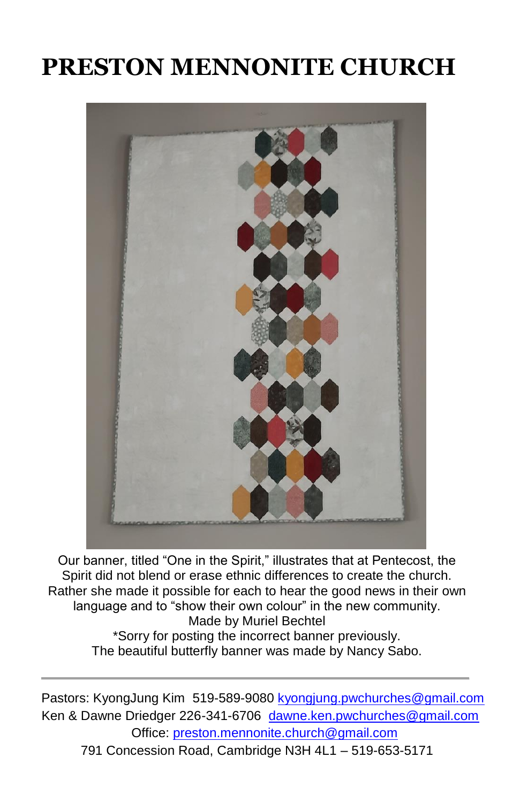# **PRESTON MENNONITE CHURCH**



Our banner, titled "One in the Spirit," illustrates that at Pentecost, the Spirit did not blend or erase ethnic differences to create the church. Rather she made it possible for each to hear the good news in their own language and to "show their own colour" in the new community. Made by Muriel Bechtel \*Sorry for posting the incorrect banner previously. The beautiful butterfly banner was made by Nancy Sabo.

Pastors: KyongJung Kim 519-589-9080 [kyongjung.pwchurches@gmail.com](mailto:kyongjung.pwchurches@gmail.com) Ken & Dawne Driedger 226-341-6706 [dawne.ken.pwchurches@gmail.com](mailto:dawne.ken.pwchurches@gmail.com) Office[: preston.mennonite.church@gmail.com](mailto:preston.mennonite.church@gmail.com)  791 Concession Road, Cambridge N3H 4L1 – 519-653-5171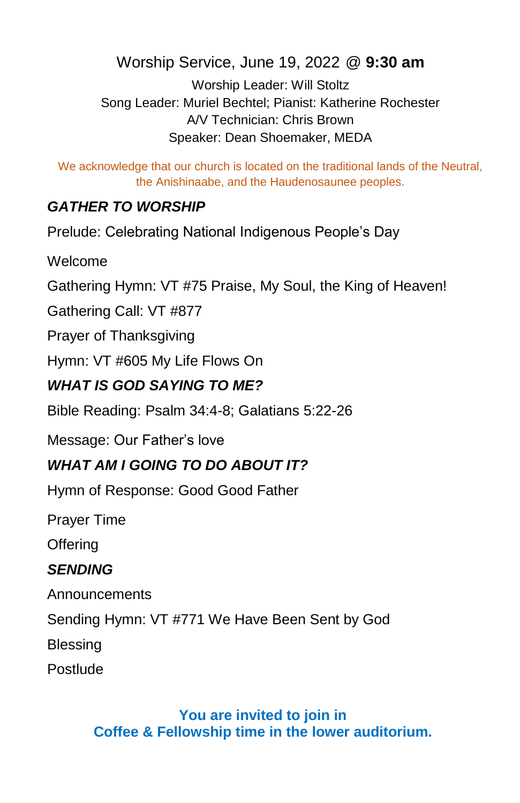Worship Service, June 19, 2022 @ **9:30 am**

Worship Leader: Will Stoltz Song Leader: Muriel Bechtel; Pianist: Katherine Rochester A/V Technician: Chris Brown Speaker: Dean Shoemaker, MEDA

We acknowledge that our church is located on the traditional lands of the Neutral, the Anishinaabe, and the Haudenosaunee peoples.

### *GATHER TO WORSHIP*

Prelude: Celebrating National Indigenous People's Day

Welcome

Gathering Hymn: VT #75 Praise, My Soul, the King of Heaven!

Gathering Call: VT #877

Prayer of Thanksgiving

Hymn: VT #605 My Life Flows On

#### *WHAT IS GOD SAYING TO ME?*

Bible Reading: Psalm 34:4-8; Galatians 5:22-26

Message: Our Father's love

## *WHAT AM I GOING TO DO ABOUT IT?*

Hymn of Response: Good Good Father

Prayer Time

**Offering** 

#### *SENDING*

Announcements

Sending Hymn: VT #771 We Have Been Sent by God

Blessing

Postlude

#### **You are invited to join in Coffee & Fellowship time in the lower auditorium.**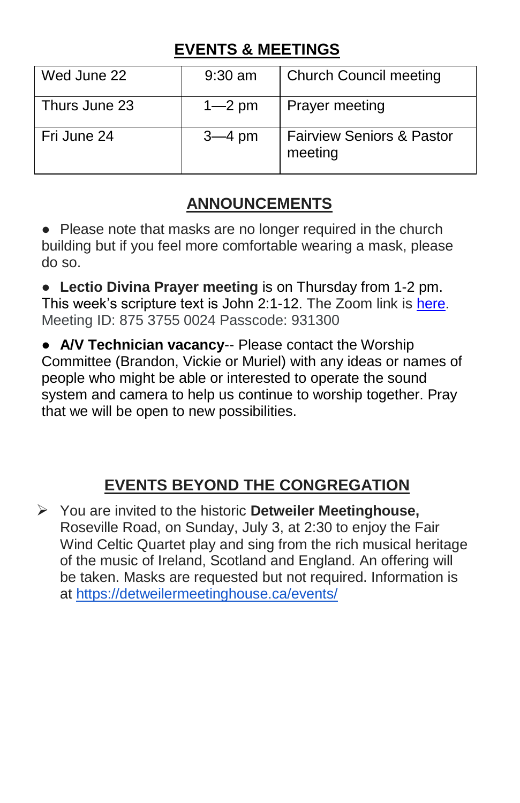## **EVENTS & MEETINGS**

| Wed June 22   | $9:30$ am  | <b>Church Council meeting</b>                   |
|---------------|------------|-------------------------------------------------|
| Thurs June 23 | $1 - 2$ pm | <b>Prayer meeting</b>                           |
| Fri June 24   | $3-4$ pm   | <b>Fairview Seniors &amp; Pastor</b><br>meeting |

## **ANNOUNCEMENTS**

● Please note that masks are no longer required in the church building but if you feel more comfortable wearing a mask, please do so.

● **Lectio Divina Prayer meeting** is on Thursday from 1-2 pm. This week's scripture text is John 2:1-12. The Zoom link is [here.](https://us02web.zoom.us/j/87537550024?pwd=QUVZaHFtbUg2TVdXTHduZXQxd3d2Zz09) Meeting ID: 875 3755 0024 Passcode: 931300

● **A/V Technician vacancy**-- Please contact the Worship Committee (Brandon, Vickie or Muriel) with any ideas or names of people who might be able or interested to operate the sound system and camera to help us continue to worship together. Pray that we will be open to new possibilities.

## **EVENTS BEYOND THE CONGREGATION**

➢ You are invited to the historic **Detweiler Meetinghouse,** Roseville Road, on Sunday, July 3, at 2:30 to enjoy the Fair Wind Celtic Quartet play and sing from the rich musical heritage of the music of Ireland, Scotland and England. An offering will be taken. Masks are requested but not required. Information is at <https://detweilermeetinghouse.ca/events/>